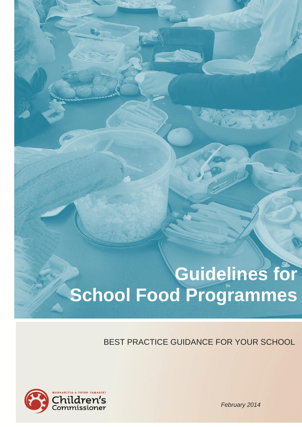# **Guidelines for School Food Programmes**

BEST PRACTICE GUIDANCE FOR YOUR SCHOOL



*February 2014*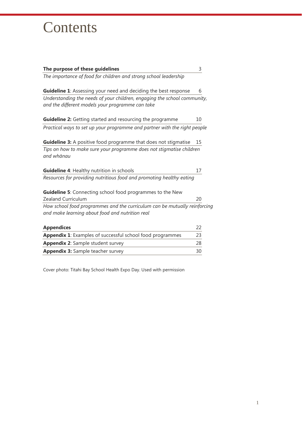## **Contents**

| The purpose of these guidelines                                                                                              | 3  |  |  |
|------------------------------------------------------------------------------------------------------------------------------|----|--|--|
| The importance of food for children and strong school leadership                                                             |    |  |  |
| Guideline 1: Assessing your need and deciding the best response                                                              | 6  |  |  |
| Understanding the needs of your children, engaging the school community,<br>and the different models your programme can take |    |  |  |
| Guideline 2: Getting started and resourcing the programme                                                                    | 10 |  |  |
| Practical ways to set up your programme and partner with the right people                                                    |    |  |  |
| <b>Guideline 3:</b> A positive food programme that does not stigmatise                                                       | 15 |  |  |
| Tips on how to make sure your programme does not stigmatise children<br>and whānau                                           |    |  |  |
| <b>Guideline 4: Healthy nutrition in schools</b>                                                                             | 17 |  |  |
| Resources for providing nutritious food and promoting healthy eating                                                         |    |  |  |
| <b>Guideline 5:</b> Connecting school food programmes to the New                                                             |    |  |  |
| Zealand Curriculum                                                                                                           |    |  |  |
| How school food programmes and the curriculum can be mutually reinforcing                                                    |    |  |  |
| and make learning about food and nutrition real                                                                              |    |  |  |
| <b>Appendices</b>                                                                                                            | 22 |  |  |
| Appendix 1: Examples of successful school food programmes                                                                    | 23 |  |  |
| <b>Appendix 2: Sample student survey</b>                                                                                     | 28 |  |  |

Cover photo: Titahi Bay School Health Expo Day. Used with permission

**Appendix 3:** [Sample teacher survey](#page-30-0) 30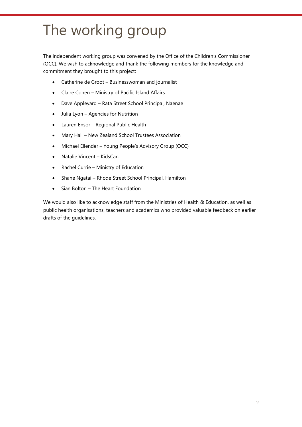## The working group

The independent working group was convened by the Office of the Children's Commissioner (OCC). We wish to acknowledge and thank the following members for the knowledge and commitment they brought to this project:

- Catherine de Groot Businesswoman and journalist
- Claire Cohen Ministry of Pacific Island Affairs
- Dave Appleyard Rata Street School Principal, Naenae
- Julia Lyon Agencies for Nutrition
- Lauren Ensor Regional Public Health
- Mary Hall New Zealand School Trustees Association
- Michael Ellender Young People's Advisory Group (OCC)
- Natalie Vincent KidsCan
- Rachel Currie Ministry of Education
- Shane Ngatai Rhode Street School Principal, Hamilton
- <span id="page-2-0"></span>• Sian Bolton – The Heart Foundation

We would also like to acknowledge staff from the Ministries of Health & Education, as well as public health organisations, teachers and academics who provided valuable feedback on earlier drafts of the guidelines.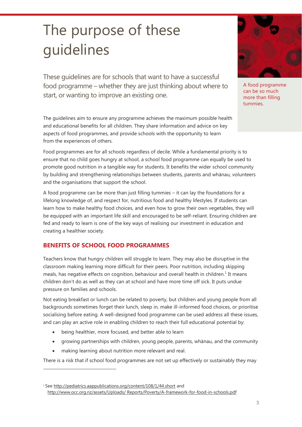## The purpose of these guidelines

These guidelines are for schools that want to have a successful food programme – whether they are just thinking about where to start, or wanting to improve an existing one.

The guidelines aim to ensure any programme achieves the maximum possible health and educational benefits for all children. They share information and advice on key aspects of food programmes, and provide schools with the opportunity to learn from the experiences of others.

Food programmes are for all schools regardless of decile. While a fundamental priority is to ensure that no child goes hungry at school, a school food programme can equally be used to promote good nutrition in a tangible way for students. It benefits the wider school community by building and strengthening relationships between students, parents and whānau, volunteers and the organisations that support the school.

A food programme can be more than just filling tummies – it can lay the foundations for a lifelong knowledge of, and respect for, nutritious food and healthy lifestyles. If students can learn how to make healthy food choices, and even how to grow their own vegetables, they will be equipped with an important life skill and encouraged to be self-reliant. Ensuring children are fed and ready to learn is one of the key ways of realising our investment in education and creating a healthier society.

### **BENEFITS OF SCHOOL FOOD PROGRAMMES**

Teachers know that hungry children will struggle to learn. They may also be disruptive in the classroom making learning more difficult for their peers. Poor nutrition, including skipping meals, has negative effects on cognition, behaviour and overall health in children.<sup>1</sup> It means children don't do as well as they can at school and have more time off sick. It puts undue pressure on families and schools.

Not eating breakfast or lunch can be related to poverty, but children and young people from all backgrounds sometimes forget their lunch, sleep in, make ill-informed food choices, or prioritise socialising before eating. A well-designed food programme can be used address all these issues, and can play an active role in enabling children to reach their full educational potential by:

- being healthier, more focused, and better able to learn
- growing partnerships with children, young people, parents, whānau, and the community
- making learning about nutrition more relevant and real.

 $\overline{a}$ 

There is a risk that if school food programmes are not set up effectively or sustainably they may



A food programme can be so much more than filling tummies.

<sup>&</sup>lt;sup>1</sup> Se[e http://pediatrics.aappublications.org/content/108/1/44.short](http://pediatrics.aappublications.org/content/108/1/44.short) and [http://www.occ.org.nz/assets/Uploads/ Reports/Poverty/A-framework-for-food-in-schools.pdf](http://www.occ.org.nz/assets/Uploads/Reports/Poverty/A-framework-for-food-in-schools.pdf)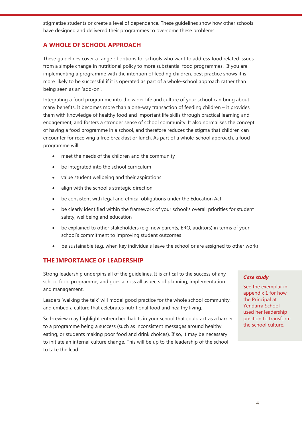stigmatise students or create a level of dependence. These guidelines show how other schools have designed and delivered their programmes to overcome these problems.

## **A WHOLE OF SCHOOL APPROACH**

These guidelines cover a range of options for schools who want to address food related issues – from a simple change in nutritional policy to more substantial food programmes. If you are implementing a programme with the intention of feeding children, best practice shows it is more likely to be successful if it is operated as part of a whole-school approach rather than being seen as an 'add-on'.

Integrating a food programme into the wider life and culture of your school can bring about many benefits. It becomes more than a one-way transaction of feeding children – it provides them with knowledge of healthy food and important life skills through practical learning and engagement, and fosters a stronger sense of school community. It also normalises the concept of having a food programme in a school, and therefore reduces the stigma that children can encounter for receiving a free breakfast or lunch. As part of a whole-school approach, a food programme will:

- meet the needs of the children and the community
- be integrated into the school curriculum
- value student wellbeing and their aspirations
- align with the school's strategic direction
- be consistent with legal and ethical obligations under the Education Act
- be clearly identified within the framework of your school's overall priorities for student safety, wellbeing and education
- be explained to other stakeholders (e.g. new parents, ERO, auditors) in terms of your school's commitment to improving student outcomes
- be sustainable (e.g. when key individuals leave the school or are assigned to other work)

### **THE IMPORTANCE OF LEADERSHIP**

Strong leadership underpins all of the guidelines. It is critical to the success of any school food programme, and goes across all aspects of planning, implementation and management.

Leaders 'walking the talk' will model good practice for the whole school community, and embed a culture that celebrates nutritional food and healthy living.

Self-review may highlight entrenched habits in your school that could act as a barrier to a programme being a success (such as inconsistent messages around healthy eating, or students making poor food and drink choices). If so, it may be necessary to initiate an internal culture change. This will be up to the leadership of the school to take the lead.

#### *Case study*

See the exemplar in appendix 1 for how the Principal at Yendarra School used her leadership position to transform the school culture.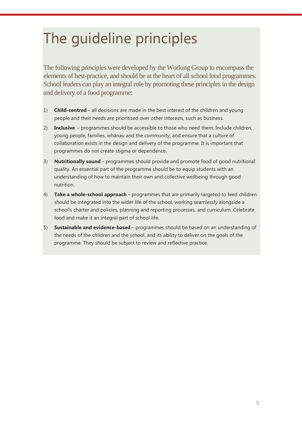## The guideline principles

The following principles were developed by the Working Group to encompass the elements of best-practice, and should be at the heart of all school food programmes. School leaders can play an integral role by promoting these principles in the design and delivery of a food programme:

- 1) **Child-centred** all decisions are made in the best interest of the children and young people and their needs are prioritised over other interests, such as business.
- 2) **Inclusive** programmes should be accessible to those who need them. Include children, young people, families, whānau and the community, and ensure that a culture of collaboration exists in the design and delivery of the programme. It is important that programmes do not create stigma or dependence.
- 3) **Nutritionally sound** programmes should provide and promote food of good nutritional quality. An essential part of the programme should be to equip students with an understanding of how to maintain their own and collective wellbeing through good nutrition.
- 4) **Take a whole-school approach** programmes that are primarily targeted to feed children should be integrated into the wider life of the school, working seamlessly alongside a school's charter and policies, planning and reporting processes, and curriculum. Celebrate food and make it an integral part of school life.
- 5) **Sustainable and evidence-based** programmes should be based on an understanding of the needs of the children and the school, and its ability to deliver on the goals of the programme. They should be subject to review and reflective practice.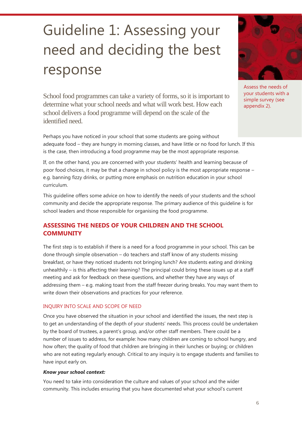## <span id="page-6-0"></span>Guideline 1: Assessing your need and deciding the best response

School food programmes can take a variety of forms, so it is important to determine what your school needs and what will work best. How each school delivers a food programme will depend on the scale of the identified need.

Perhaps you have noticed in your school that some students are going without adequate food – they are hungry in morning classes, and have little or no food for lunch. If this is the case, then introducing a food programme may be the most appropriate response.

If, on the other hand, you are concerned with your students' health and learning because of poor food choices, it may be that a change in school policy is the most appropriate response – e.g. banning fizzy drinks, or putting more emphasis on nutrition education in your school curriculum.

This guideline offers some advice on how to identify the needs of your students and the school community and decide the appropriate response. The primary audience of this guideline is for school leaders and those responsible for organising the food programme.

## **ASSESSING THE NEEDS OF YOUR CHILDREN AND THE SCHOOL COMMUNITY**

The first step is to establish if there is a need for a food programme in your school. This can be done through simple observation – do teachers and staff know of any students missing breakfast, or have they noticed students not bringing lunch? Are students eating and drinking unhealthily – is this affecting their learning? The principal could bring these issues up at a staff meeting and ask for feedback on these questions, and whether they have any ways of addressing them – e.g. making toast from the staff freezer during breaks. You may want them to write down their observations and practices for your reference.

#### INQUIRY INTO SCALE AND SCOPE OF NEED

Once you have observed the situation in your school and identified the issues, the next step is to get an understanding of the depth of your students' needs. This process could be undertaken by the board of trustees, a parent's group, and/or other staff members. There could be a number of issues to address, for example: how many children are coming to school hungry, and how often; the quality of food that children are bringing in their lunches or buying; or children who are not eating regularly enough. Critical to any inquiry is to engage students and families to have input early on.

#### *Know your school context:*

You need to take into consideration the culture and values of your school and the wider community. This includes ensuring that you have documented what your school's current



Assess the needs of your students with a simple survey (see appendix 2).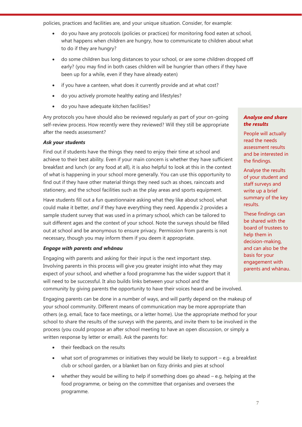policies, practices and facilities are, and your unique situation. Consider, for example:

- do you have any protocols (policies or practices) for monitoring food eaten at school, what happens when children are hungry, how to communicate to children about what to do if they are hungry?
- do some children bus long distances to your school, or are some children dropped off early? (you may find in both cases children will be hungrier than others if they have been up for a while, even if they have already eaten)
- if you have a canteen, what does it currently provide and at what cost?
- do you actively promote healthy eating and lifestyles?
- do you have adequate kitchen facilities?

Any protocols you have should also be reviewed regularly as part of your on-going self-review process. How recently were they reviewed? Will they still be appropriate after the needs assessment?

#### *Ask your students*

Find out if students have the things they need to enjoy their time at school and achieve to their best ability. Even if your main concern is whether they have sufficient breakfast and lunch (or any food at all), it is also helpful to look at this in the context of what is happening in your school more generally. You can use this opportunity to find out if they have other material things they need such as shoes, raincoats and stationery, and the school facilities such as the play areas and sports equipment.

Have students fill out a fun questionnaire asking what they like about school, what could make it better, *and* if they have everything they need. Appendix 2 provides a sample student survey that was used in a primary school, which can be tailored to suit different ages and the context of your school. Note the surveys should be filled out at school and be anonymous to ensure privacy. Permission from parents is not necessary, though you may inform them if you deem it appropriate.

#### *Engage with parents and whānau*

Engaging with parents and asking for their input is the next important step. Involving parents in this process will give you greater insight into what they may expect of your school, and whether a food programme has the wider support that it will need to be successful. It also builds links between your school and the community by giving parents the opportunity to have their voices heard and be involved.

Engaging parents can be done in a number of ways, and will partly depend on the makeup of your school community. Different means of communication may be more appropriate than others (e.g. email, face to face meetings, or a letter home). Use the appropriate method for your school to share the results of the surveys with the parents, and invite them to be involved in the process (you could propose an after school meeting to have an open discussion, or simply a written response by letter or email). Ask the parents for:

- their feedback on the results
- what sort of programmes or initiatives they would be likely to support e.g. a breakfast club or school garden, or a blanket ban on fizzy drinks and pies at school
- whether they would be willing to help if something does go ahead e.g. helping at the food programme, or being on the committee that organises and oversees the programme.

#### *Analyse and share the results*

People will actually read the needs assessment results and be interested in the findings.

Analyse the results of your student and staff surveys and write up a brief summary of the key results.

These findings can be shared with the board of trustees to help them in decision-making, and can also be the basis for your engagement with parents and whānau.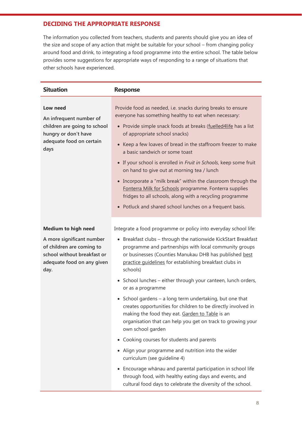### **DECIDING THE APPROPRIATE RESPONSE**

The information you collected from teachers, students and parents should give you an idea of the size and scope of any action that might be suitable for your school – from changing policy around food and drink, to integrating a food programme into the entire school. The table below provides some suggestions for appropriate ways of responding to a range of situations that other schools have experienced.

| <b>Situation</b>                                                                                                                                          | <b>Response</b>                                                                                                                                                                                                                                                                                                                                                                                                                                                                                                                                                                                                                                                                                                                                 |
|-----------------------------------------------------------------------------------------------------------------------------------------------------------|-------------------------------------------------------------------------------------------------------------------------------------------------------------------------------------------------------------------------------------------------------------------------------------------------------------------------------------------------------------------------------------------------------------------------------------------------------------------------------------------------------------------------------------------------------------------------------------------------------------------------------------------------------------------------------------------------------------------------------------------------|
| Low need<br>An infrequent number of<br>children are going to school<br>hungry or don't have<br>adequate food on certain<br>days                           | Provide food as needed, i.e. snacks during breaks to ensure<br>everyone has something healthy to eat when necessary:<br>• Provide simple snack foods at breaks (fuelled4life has a list<br>of appropriate school snacks)<br>• Keep a few loaves of bread in the staffroom freezer to make<br>a basic sandwich or some toast<br>• If your school is enrolled in Fruit in Schools, keep some fruit<br>on hand to give out at morning tea / lunch<br>• Incorporate a "milk break" within the classroom through the<br>Fonterra Milk for Schools programme. Fonterra supplies<br>fridges to all schools, along with a recycling programme<br>• Potluck and shared school lunches on a frequent basis.                                               |
| <b>Medium to high need</b><br>A more significant number<br>of children are coming to<br>school without breakfast or<br>adequate food on any given<br>day. | Integrate a food programme or policy into everyday school life:<br>• Breakfast clubs - through the nationwide KickStart Breakfast<br>programme and partnerships with local community groups<br>or businesses (Counties Manukau DHB has published best<br>practice guidelines for establishing breakfast clubs in<br>schools)<br>• School lunches - either through your canteen, lunch orders,<br>or as a programme<br>• School gardens - a long term undertaking, but one that<br>creates opportunities for children to be directly involved in<br>making the food they eat. Garden to Table is an<br>organisation that can help you get on track to growing your<br>own school garden<br>Cooking courses for students and parents<br>$\bullet$ |
|                                                                                                                                                           | Align your programme and nutrition into the wider<br>curriculum (see guideline 4)<br>Encourage whānau and parental participation in school life<br>through food, with healthy eating days and events, and<br>cultural food days to celebrate the diversity of the school.                                                                                                                                                                                                                                                                                                                                                                                                                                                                       |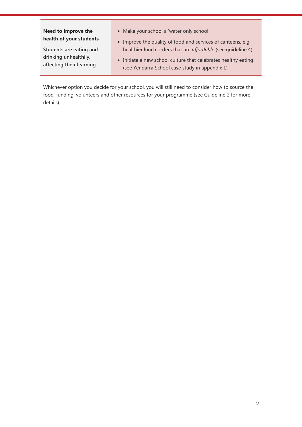### **Need to improve the health of your students**

**Students are eating and drinking unhealthily, affecting their learning**

- Make your school a 'water only school'
- Improve the quality of food and services of canteens, e.g. healthier lunch orders that are *affordable* (see guideline 4)
- Initiate a new school culture that celebrates healthy eating (see Yendarra School case study in appendix 1)

Whichever option you decide for your school, you will still need to consider how to source the food, funding, volunteers and other resources for your programme (see Guideline 2 for more details).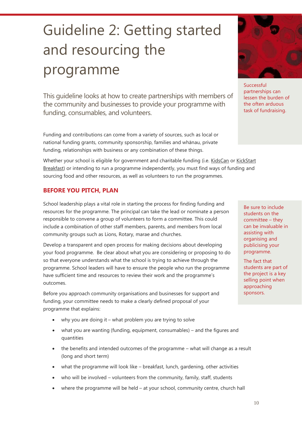## <span id="page-10-0"></span>Guideline 2: Getting started and resourcing the programme

This guideline looks at how to create partnerships with members of the community and businesses to provide your programme with funding, consumables, and volunteers.

Funding and contributions can come from a variety of sources, such as local or national funding grants, community sponsorship, families and whānau, private funding, relationships with business or any combination of these things.

Whether your school is eligible for government and charitable funding (i.e. [KidsCan](http://www.kidscan.org.nz/our-work/apply-for-support) or [KickStart](https://kickstartbreakfast.co.nz/apply) Breakfast) or intending to run a programme independently, you must find ways of funding and sourcing food and other resources, as well as volunteers to run the programmes.

## **BEFORE YOU PITCH, PLAN**

School leadership plays a vital role in starting the process for finding funding and resources for the programme. The principal can take the lead or nominate a person responsible to convene a group of volunteers to form a committee. This could include a combination of other staff members, parents, and members from local community groups such as Lions, Rotary, marae and churches.

Develop a transparent and open process for making decisions about developing your food programme. Be clear about what you are considering or proposing to do so that everyone understands what the school is trying to achieve through the programme. School leaders will have to ensure the people who run the programme have sufficient time and resources to review their work and the programme's outcomes.

Before you approach community organisations and businesses for support and funding, your committee needs to make a clearly defined proposal of your programme that explains:

- why you are doing it what problem you are trying to solve
- what you are wanting (funding, equipment, consumables) and the figures and quantities
- the benefits and intended outcomes of the programme what will change as a result (long and short term)
- what the programme will look like breakfast, lunch, gardening, other activities
- who will be involved volunteers from the community, family, staff, students
- where the programme will be held at your school, community centre, church hall



Successful partnerships can lessen the burden of the often arduous task of fundraising.

Be sure to include students on the committee – they can be invaluable in assisting with organising and publicising your programme.

The fact that students are part of the project is a key selling point when approaching sponsors.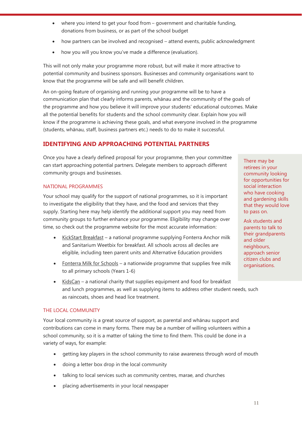- where you intend to get your food from government and charitable funding, donations from business, or as part of the school budget
- how partners can be involved and recognised attend events, public acknowledgment
- how you will you know you've made a difference (evaluation).

This will not only make your programme more robust, but will make it more attractive to potential community and business sponsors. Businesses and community organisations want to know that the programme will be safe and will benefit children.

An on-going feature of organising and running your programme will be to have a communication plan that clearly informs parents, whānau and the community of the goals of the programme and how you believe it will improve your students' educational outcomes. Make all the potential benefits for students and the school community clear. Explain how you will know if the programme is achieving these goals, and what everyone involved in the programme (students, whānau, staff, business partners etc.) needs to do to make it successful.

## **IDENTIFYING AND APPROACHING POTENTIAL PARTNERS**

Once you have a clearly defined proposal for your programme, then your committee can start approaching potential partners. Delegate members to approach different community groups and businesses.

#### NATIONAL PROGRAMMES

Your school may qualify for the support of national programmes, so it is important to investigate the eligibility that they have, and the food and services that they supply. Starting here may help identify the additional support you may need from community groups to further enhance your programme. Eligibility may change over time, so check out the programme website for the most accurate information:

- [KickStart Breakfast](http://www.kickstartbreakfast.com/) a national programme supplying Fonterra Anchor milk and Sanitarium Weetbix for breakfast. All schools across all deciles are eligible, including teen parent units and Alternative Education providers
- [Fonterra Milk for Schools](https://www.fonterramilkforschools.com/) a nationwide programme that supplies free milk to all primary schools (Years 1-6)
- [KidsCan](http://www.kidscan.org.nz/) a national charity that supplies equipment and food for breakfast and lunch programmes, as well as supplying items to address other student needs, such as raincoats, shoes and head lice treatment.

#### THE LOCAL COMMUNITY

Your local community is a great source of support, as parental and whānau support and contributions can come in many forms. There may be a number of willing volunteers within a school community, so it is a matter of taking the time to find them. This could be done in a variety of ways, for example:

- getting key players in the school community to raise awareness through word of mouth
- doing a letter box drop in the local community
- talking to local services such as community centres, marae, and churches
- placing advertisements in your local newspaper

There may be retirees in your community looking for opportunities for social interaction who have cooking and gardening skills that they would love to pass on.

Ask students and parents to talk to their grandparents and older neighbours, approach senior citizen clubs and organisations.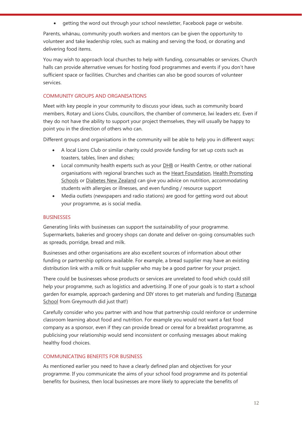getting the word out through your school newsletter, Facebook page or website.

Parents, whānau, community youth workers and mentors can be given the opportunity to volunteer and take leadership roles, such as making and serving the food, or donating and delivering food items.

You may wish to approach local churches to help with funding, consumables or services. Church halls can provide alternative venues for hosting food programmes and events if you don't have sufficient space or facilities. Churches and charities can also be good sources of volunteer services.

#### COMMUNITY GROUPS AND ORGANISATIONS

Meet with key people in your community to discuss your ideas, such as community board members, Rotary and Lions Clubs, councillors, the chamber of commerce, Iwi leaders etc. Even if they do not have the ability to support your project themselves, they will usually be happy to point you in the direction of others who can.

Different groups and organisations in the community will be able to help you in different ways:

- A local Lions Club or similar charity could provide funding for set up costs such as toasters, tables, linen and dishes;
- Local community health experts such as your **DHB** or Health Centre, or other national organisations with regional branches such as the [Heart Foundation,](http://www.heartfoundation.org.nz/) Health Promoting [Schools](http://hps.tki.org.nz/) or [Diabetes New Zealand](http://www.diabetes.org.nz/) can give you advice on nutrition, accommodating students with allergies or illnesses, and even funding / resource support
- Media outlets (newspapers and radio stations) are good for getting word out about your programme, as is social media.

#### BUSINESSES

Generating links with businesses can support the sustainability of your programme. Supermarkets, bakeries and grocery shops can donate and deliver on-going consumables such as spreads, porridge, bread and milk.

Businesses and other organisations are also excellent sources of information about other funding or partnership options available. For example, a bread supplier may have an existing distribution link with a milk or fruit supplier who may be a good partner for your project.

There could be businesses whose products or services are unrelated to food which could still help your programme, such as logistics and advertising. If one of your goals is to start a school garden for example, approach gardening and DIY stores to get materials and funding (Runanga [School](http://healthylifestyles.tki.org.nz/Food-and-nutrition-case-studies/Runanga-School) from Greymouth did just that!)

Carefully consider who you partner with and how that partnership could reinforce or undermine classroom learning about food and nutrition. For example you would not want a fast food company as a sponsor, even if they can provide bread or cereal for a breakfast programme, as publicising your relationship would send inconsistent or confusing messages about making healthy food choices.

#### COMMUNICATING BENEFITS FOR BUSINESS

As mentioned earlier you need to have a clearly defined plan and objectives for your programme. If you communicate the aims of your school food programme and its potential benefits for business, then local businesses are more likely to appreciate the benefits of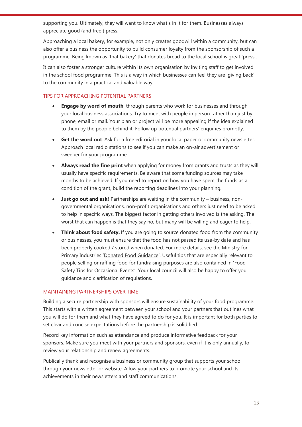supporting you. Ultimately, they will want to know what's in it for them. Businesses always appreciate good (and free!) press.

Approaching a local bakery, for example, not only creates goodwill within a community, but can also offer a business the opportunity to build consumer loyalty from the sponsorship of such a programme. Being known as 'that bakery' that donates bread to the local school is great 'press'.

It can also foster a stronger culture within its own organisation by inviting staff to get involved in the school food programme. This is a way in which businesses can feel they are 'giving back' to the community in a practical and valuable way.

#### TIPS FOR APPROACHING POTENTIAL PARTNERS

- **Engage by word of mouth**, through parents who work for businesses and through your local business associations. Try to meet with people in person rather than just by phone, email or mail. Your plan or project will be more appealing if the idea explained to them by the people behind it. Follow up potential partners' enquiries promptly.
- **Get the word out**. Ask for a free editorial in your local paper or community newsletter. Approach local radio stations to see if you can make an on-air advertisement or sweeper for your programme.
- **Always read the fine print** when applying for money from grants and trusts as they will usually have specific requirements. Be aware that some funding sources may take months to be achieved. If you need to report on how you have spent the funds as a condition of the grant, build the reporting deadlines into your planning.
- **Just go out and ask!** Partnerships are waiting in the community business, nongovernmental organisations, non-profit organisations and others just need to be asked to help in specific ways. The biggest factor in getting others involved is the asking. The worst that can happen is that they say no, but many will be willing and eager to help.
- **Think about food safety.** If you are going to source donated food from the community or businesses, you must ensure that the food has not passed its use-by date and has been properly cooked / stored when donated. For more details, see the Ministry for Primary Industries '[Donated Food Guidance](http://www.foodsafety.govt.nz/elibrary/%20industry/emergency/donated-food-guidance.htm)'. Useful tips that are especially relevant to people selling or raffling food for fundraising purposes are also contained in '[Food](http://www.foodsmart.govt.nz/elibrary/food_safety_tips_selling.pdf)  [Safety Tips for Occasional Events](http://www.foodsmart.govt.nz/elibrary/food_safety_tips_selling.pdf)'. Your local council will also be happy to offer you guidance and clarification of regulations.

#### MAINTAINING PARTNERSHIPS OVER TIME

Building a secure partnership with sponsors will ensure sustainability of your food programme. This starts with a written agreement between your school and your partners that outlines what you will do for them and what they have agreed to do for you. It is important for both parties to set clear and concise expectations before the partnership is solidified.

Record key information such as attendance and produce informative feedback for your sponsors. Make sure you meet with your partners and sponsors, even if it is only annually, to review your relationship and renew agreements.

Publically thank and recognise a business or community group that supports your school through your newsletter or website. Allow your partners to promote your school and its achievements in their newsletters and staff communications.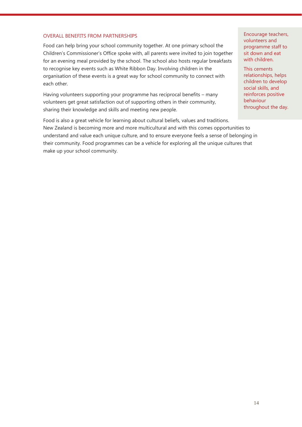#### OVERALL BENEFITS FROM PARTNERSHIPS

Food can help bring your school community together. At one primary school the Children's Commissioner's Office spoke with, all parents were invited to join together for an evening meal provided by the school. The school also hosts regular breakfasts to recognise key events such as White Ribbon Day. Involving children in the organisation of these events is a great way for school community to connect with each other.

Having volunteers supporting your programme has reciprocal benefits – many volunteers get great satisfaction out of supporting others in their community, sharing their knowledge and skills and meeting new people.

Food is also a great vehicle for learning about cultural beliefs, values and traditions. New Zealand is becoming more and more multicultural and with this comes opportunities to understand and value each unique culture, and to ensure everyone feels a sense of belonging in their community. Food programmes can be a vehicle for exploring all the unique cultures that make up your school community.

Encourage teachers, volunteers and programme staff to sit down and eat with children.

This cements relationships, helps children to develop social skills, and reinforces positive behaviour throughout the day.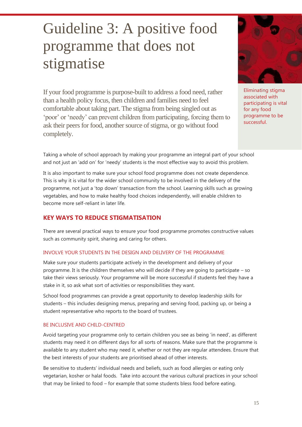## <span id="page-15-0"></span>Guideline 3: A positive food programme that does not stigmatise

If your food programme is purpose-built to address a food need, rather than a health policy focus, then children and families need to feel comfortable about taking part. The stigma from being singled out as 'poor' or 'needy' can prevent children from participating, forcing them to ask their peers for food, another source of stigma, or go without food completely.



Eliminating stigma associated with participating is vital for any food programme to be successful.

Taking a whole of school approach by making your programme an integral part of your school and not just an 'add on' for 'needy' students is the most effective way to avoid this problem.

It is also important to make sure your school food programme does not create dependence. This is why it is vital for the wider school community to be involved in the delivery of the programme, not just a 'top down' transaction from the school. Learning skills such as growing vegetables, and how to make healthy food choices independently, will enable children to become more self-reliant in later life.

### **KEY WAYS TO REDUCE STIGMATISATION**

There are several practical ways to ensure your food programme promotes constructive values such as community spirit, sharing and caring for others.

#### INVOLVE YOUR STUDENTS IN THE DESIGN AND DELIVERY OF THE PROGRAMME

Make sure your students participate actively in the development and delivery of your programme. It is the children themselves who will decide if they are going to participate – so take their views seriously. Your programme will be more successful if students feel they have a stake in it, so ask what sort of activities or responsibilities they want.

School food programmes can provide a great opportunity to develop leadership skills for students – this includes designing menus, preparing and serving food, packing up, or being a student representative who reports to the board of trustees.

#### BE INCLUSIVE AND CHILD-CENTRED

Avoid targeting your programme only to certain children you see as being 'in need', as different students may need it on different days for all sorts of reasons. Make sure that the programme is available to any student who may need it, whether or not they are regular attendees. Ensure that the best interests of your students are prioritised ahead of other interests.

Be sensitive to students' individual needs and beliefs, such as food allergies or eating only vegetarian, kosher or halal foods. Take into account the various cultural practices in your school that may be linked to food – for example that some students bless food before eating.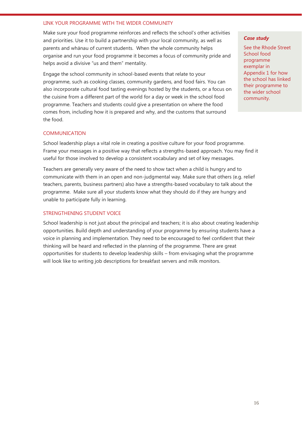#### LINK YOUR PROGRAMME WITH THE WIDER COMMUNITY

Make sure your food programme reinforces and reflects the school's other activities and priorities. Use it to build a partnership with your local community, as well as parents and whānau of current students. When the whole community helps organise and run your food programme it becomes a focus of community pride and helps avoid a divisive "us and them" mentality.

Engage the school community in school-based events that relate to your programme, such as cooking classes, community gardens, and food fairs. You can also incorporate cultural food tasting evenings hosted by the students, or a focus on the cuisine from a different part of the world for a day or week in the school food programme. Teachers and students could give a presentation on where the food comes from, including how it is prepared and why, and the customs that surround the food.

#### COMMUNICATION

School leadership plays a vital role in creating a positive culture for your food programme. Frame your messages in a positive way that reflects a strengths-based approach. You may find it useful for those involved to develop a consistent vocabulary and set of key messages.

Teachers are generally very aware of the need to show tact when a child is hungry and to communicate with them in an open and non-judgmental way. Make sure that others (e.g. relief teachers, parents, business partners) also have a strengths-based vocabulary to talk about the programme. Make sure all your students know what they should do if they are hungry and unable to participate fully in learning.

#### STRENGTHENING STUDENT VOICE

School leadership is not just about the principal and teachers; it is also about creating leadership opportunities. Build depth and understanding of your programme by ensuring students have a voice in planning and implementation. They need to be encouraged to feel confident that their thinking will be heard and reflected in the planning of the programme. There are great opportunities for students to develop leadership skills – from envisaging what the programme will look like to writing job descriptions for breakfast servers and milk monitors.

#### *Case study*

See the Rhode Street School food programme exemplar in Appendix 1 for how the school has linked their programme to the wider school community.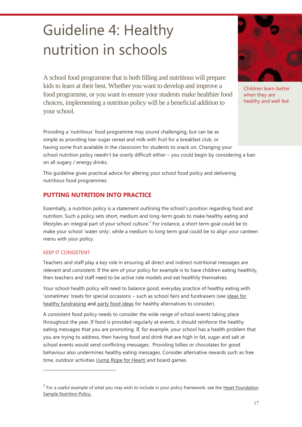## <span id="page-17-0"></span>Guideline 4: Healthy nutrition in schools

A school food programme that is both filling and nutritious will prepare kids to learn at their best. Whether you want to develop and improve a food programme, or you want to ensure your students make healthier food choices, implementing a nutrition policy will be a beneficial addition to your school.

Providing a 'nutritious' food programme may sound challenging, but can be as simple as providing low-sugar cereal and milk with fruit for a breakfast club, or having some fruit available in the classroom for students to snack on. Changing your school nutrition policy needn't be overly difficult either – you could begin by considering a ban on all sugary / energy drinks.

This guideline gives practical advice for altering your school food policy and delivering nutritious food programmes.

## **PUTTING NUTRITION INTO PRACTICE**

Essentially, a nutrition policy is a statement outlining the school's position regarding food and nutrition. Such a policy sets short, medium and long-term goals to make healthy eating and lifestyles an integral part of your school culture.<sup>2</sup> For instance, a short term goal could be to make your school 'water only', while a medium to long term goal could be to align your canteen menu with your policy.

#### KEEP IT CONSISTENT

 $\overline{a}$ 

Teachers and staff play a key role in ensuring all direct and indirect nutritional messages are relevant and consistent. If the aim of your policy for example is to have children eating healthily, then teachers and staff need to be active role models and eat healthily themselves.

Your school health policy will need to balance good, everyday practice of healthy eating with 'sometimes' treats for special occasions - such as school fairs and fundraisers (see ideas for [healthy fundraising](http://healthylifestyles.tki.org.nz/National-nutrition-resource-list/Food-and-nutrition-for-healthy-confident-kids#Appendix3) and party food ideas for healthy alternatives to consider).

A consistent food policy needs to consider the wide range of school events taking place throughout the year. If food is provided regularly at events, it should reinforce the healthy eating messages that you are promoting. If, for example, your school has a health problem that you are trying to address, then having food and drink that are high in fat, sugar and salt at school events would send conflicting messages. Providing lollies or chocolates for good behaviour also undermines healthy eating messages. Consider alternative rewards such as free time, outdoor activities [\(Jump Rope for Heart\)](http://www.heartfoundation.org.nz/programmes-resources/schools-and-eces/jump-rope-for-heart-taura-peke-mo-te-manawa-ora) and board games.



Children learn better when they are healthy and well fed.

 $2^{2}$  For a useful example of what you may wish to include in your policy framework, see the Heart Foundation [Sample Nutrition Policy.](http://www.heartfoundation.org.nz/uploads/Nutrition_Sample_Policy_B_HHA_for_Schools_(3).pdf)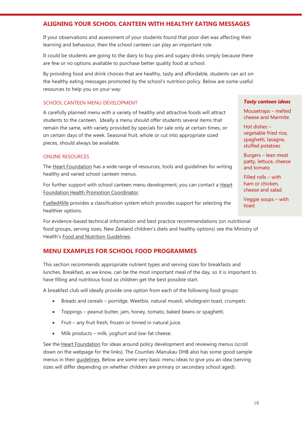### **ALIGNING YOUR SCHOOL CANTEEN WITH HEALTHY EATING MESSAGES**

If your observations and assessment of your students found that poor diet was affecting their learning and behaviour, then the school canteen can play an important role.

It could be students are going to the dairy to buy pies and sugary drinks simply because there are few or no options available to purchase better quality food at school.

By providing food and drink choices that are healthy, tasty and affordable, students can act on the healthy eating messages promoted by the school's nutrition policy. Below are some useful resources to help you on your way:

#### SCHOOL CANTEEN MENU DEVELOPMENT

A carefully planned menu with a variety of healthy and attractive foods will attract students to the canteen. Ideally a menu should offer students several items that remain the same, with variety provided by specials for sale only at certain times, or on certain days of the week. Seasonal fruit, whole or cut into appropriate sized pieces, should always be available.

#### ONLINE RESOURCES

The [Heart Foundation](http://www.heartfoundation.org.nz/programmes-resources/schools-and-eces/schools-and-ece-food-services/school-canteen-menu-development) has a wide range of resources, tools and guidelines for writing healthy and varied school canteen menus.

For further support with school canteen menu development, you can contact a **Heart** [Foundation Health Promotion Coordinator.](http://www.heartfoundation.org.nz/our-work/our-locations)

[Fuelled4life](http://www.fuelled4life.org.nz/) provides a classification system which provides support for selecting the healthier options.

For evidence-based technical information and best practice recommendations (on nutritional food groups, serving sizes, New Zealand children's diets and healthy options) see the Ministry of Health's [Food and Nutrition Guidelines.](http://www.health.govt.nz/publication/food-and-nutrition-guidelines-healthy-children-and-young-people-aged-2-18-years-background-paper)

### **MENU EXAMPLES FOR SCHOOL FOOD PROGRAMMES**

This section recommends appropriate nutrient types and serving sizes for breakfasts and lunches. Breakfast, as we know, can be the most important meal of the day, so it is important to have filling and nutritious food so children get the best possible start.

A breakfast club will ideally provide one option from each of the following food groups:

- Breads and cereals porridge, Weetbix, natural muesli, wholegrain toast, crumpets
- Toppings peanut butter, jam, honey, tomato, baked beans or spaghetti.
- Fruit any fruit fresh, frozen or tinned in natural juice.
- Milk products milk, yoghurt and low-fat cheese.

See the [Heart Foundation](http://www.heartfoundation.org.nz/programmes-resources/schools-and-eces/heartstart) for ideas around policy development and reviewing menus (scroll down on the webpage for the links). The Counties-Manukau DHB also has some good sample menus in their *guidelines*. Below are some very basic menu ideas to give you an idea (serving sizes will differ depending on whether children are primary or secondary school aged):

#### *Tasty canteen ideas*

Mousetraps – melted cheese and Marmite

Hot dishes – vegetable fried rice, spaghetti, lasagne, stuffed potatoes

Burgers – lean meat patty, lettuce, cheese and tomato

Filled rolls – with ham or chicken, cheese and salad

Veggie soups – with toast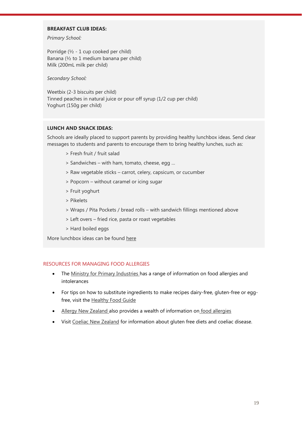#### **BREAKFAST CLUB IDEAS:**

*Primary School:*

Porridge (½ - 1 cup cooked per child) Banana (½ to 1 medium banana per child) Milk (200mL milk per child)

*Secondary School:* 

Weetbix (2-3 biscuits per child) Tinned peaches in natural juice or pour off syrup (1/2 cup per child) Yoghurt (150g per child)

#### **LUNCH AND SNACK IDEAS:**

Schools are ideally placed to support parents by providing healthy lunchbox ideas. Send clear messages to students and parents to encourage them to bring healthy lunches, such as:

- > Fresh fruit / fruit salad
- > Sandwiches with ham, tomato, cheese, egg …
- > Raw vegetable sticks carrot, celery, capsicum, or cucumber
- > Popcorn without caramel or icing sugar
- > Fruit yoghurt
- > Pikelets
- > Wraps / Pita Pockets / bread rolls with sandwich fillings mentioned above
- > Left overs fried rice, pasta or roast vegetables
- > Hard boiled eggs

More lunchbox ideas can be found [here](http://www.heartfoundation.org.nz/uploads/The%20Lunchbox.pdf)

#### RESOURCES FOR MANAGING FOOD ALLERGIES

- The [Ministry for Primary Industries h](http://www.foodsmart.govt.nz/allergies-intolerances/)as a range of information on food allergies and intolerances
- For tips on how to substitute ingredients to make recipes dairy-free, gluten-free or egg-free, visit the [Healthy Food Guide](http://www.healthyfood.co.nz/articles/2010/december/how-to-make-any-recipe-gluten-free-dairy-free-or-egg-free)
- [Allergy New Zealand a](http://www.allergy.org.nz/)lso provides a wealth of information on [food allergies](http://www.allergy.org.nz/allergy+help/a-z+allergies/food+allergy.html)
- Visit [Coeliac New Zealand](http://www.coeliac.org.nz/) for information about gluten free diets and coeliac disease.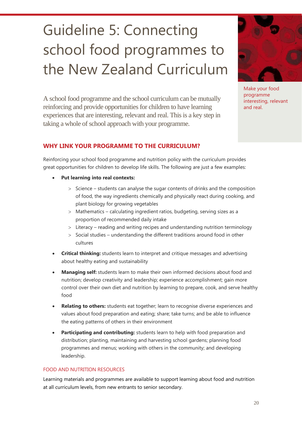## <span id="page-20-0"></span>Guideline 5: Connecting school food programmes to the New Zealand Curriculum

A school food programme and the school curriculum can be mutually reinforcing and provide opportunities for children to have learning experiences that are interesting, relevant and real. This is a key step in taking a whole of school approach with your programme.



Make your food programme interesting, relevant and real.

### **WHY LINK YOUR PROGRAMME TO THE CURRICULUM?**

Reinforcing your school food programme and nutrition policy with the curriculum provides great opportunities for children to develop life skills. The following are just a few examples:

- **Put learning into real contexts:** 
	- $>$  Science students can analyse the sugar contents of drinks and the composition of food, the way ingredients chemically and physically react during cooking, and plant biology for growing vegetables
	- Mathematics calculating ingredient ratios, budgeting, serving sizes as a proportion of recommended daily intake
	- $>$  Literacy reading and writing recipes and understanding nutrition terminology
	- $>$  Social studies understanding the different traditions around food in other cultures
- **Critical thinking:** students learn to interpret and critique messages and advertising about healthy eating and sustainability
- **Managing self:** students learn to make their own informed decisions about food and nutrition; develop creativity and leadership; experience accomplishment; gain more control over their own diet and nutrition by learning to prepare, cook, and serve healthy food
- **Relating to others:** students eat together; learn to recognise diverse experiences and values about food preparation and eating; share; take turns; and be able to influence the eating patterns of others in their environment
- **Participating and contributing:** students learn to help with food preparation and distribution; planting, maintaining and harvesting school gardens; planning food programmes and menus; working with others in the community; and developing leadership.

#### FOOD AND NUTRITION RESOURCES

Learning materials and programmes are available to support learning about food and nutrition at all curriculum levels, from new entrants to senior secondary.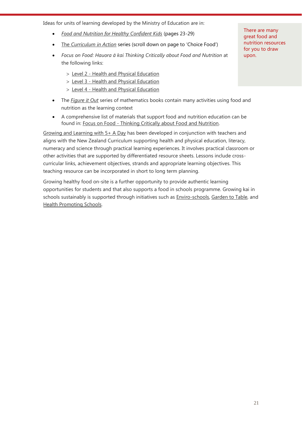Ideas for units of learning developed by the Ministry of Education are in:

- *[Food and Nutrition for Healthy Confident Kids](http://healthylifestyles.tki.org.nz/National-nutrition-resource-list/Food-and-nutrition-for-healthy-confident-kids)* (pages 23-29)
- The *[Curriculum in Action](http://health.tki.org.nz/Key-collections/Curriculum-in-action)* series (scroll down on page to 'Choice Food')
- *Focus on Food: Hauora ā kai Thinking Critically about Food and Nutrition* at the following links:
	- Level 2 [Health and Physical Education](http://www.google.co.nz/url?sa=t&rct=j&q=&esrc=s&frm=1&source=web&cd=4&ved=0CDoQFjAD&url=http%3A%2F%2Fhealth.tki.org.nz%2Fcontent%2Fdownload%2F1750%2F18353%2Fversion%2F1%2Ffile%2FLevel%2B2.pdf&ei=8W9oUtecAYnOkQXCsYHoBg&usg=AFQjCNFLCeEknBaYDAP5EiomrynpsG9JLg)
	- Level 3 [Health and Physical Education](http://www.google.co.nz/url?sa=t&rct=j&q=&esrc=s&frm=1&source=web&cd=6&ved=0CEIQFjAF&url=http%3A%2F%2Fhealth.tki.org.nz%2Fcontent%2Fdownload%2F1751%2F18356%2Fversion%2F1%2Ffile%2FLevel%2B3.pdf&ei=dD3LUpK0FuqIiQedgYHADA&usg=AFQjCNGiuBOBUkR3UF62SfZE2qsExZatOQ&sig2=fwVdbmdiEIjoaUhKnCJ0EA)
	- Level 4 [Health and Physical Education](http://www.google.co.nz/url?sa=t&rct=j&q=&esrc=s&frm=1&source=web&cd=3&ved=0CDYQFjAC&url=http%3A%2F%2Fhealth.tki.org.nz%2Fcontent%2Fdownload%2F1752%2F18359%2Fversion%2F1%2Ffile%2FLevel%2B4.pdf&ei=lD7LUtbdKo-aiQfm5oGQDQ&usg=AFQjCNFUP8ZNw-bxFOtUmVdZ4Lg9OOSTtw&sig2=qWYfdDDDZigZ3LoNOfoyJg)
- The *[Figure it Out](http://www.nzmaths.co.nz/search/node/nutrition)* series of mathematics books contain many activities using food and nutrition as the learning context
- A comprehensive list of materials that support food and nutrition education can be found in: Focus on Food - [Thinking Critically about Food and Nutrition.](http://health.tki.org.nz/content/download/1753/18362/version/1/file/References+further+reading+recources.pdf)

[Growing and Learning with 5+ A Day](http://www.5aday.co.nz/resources/education-resources.aspx) has been developed in conjunction with teachers and aligns with the New Zealand Curriculum supporting health and physical education, literacy, numeracy and science through practical learning experiences. It involves practical classroom or other activities that are supported by differentiated resource sheets. Lessons include crosscurricular links, achievement objectives, strands and appropriate learning objectives. This teaching resource can be incorporated in short to long term planning.

Growing healthy food on-site is a further opportunity to provide authentic learning opportunities for students and that also supports a food in schools programme. Growing kai in schools sustainably is supported through initiatives such as **Enviro-schools**, [Garden to Table,](http://www.gardentotable.org.nz/) and [Health Promoting Schools.](http://hps.tki.org.nz/)

There are many great food and nutrition resources for you to draw upon.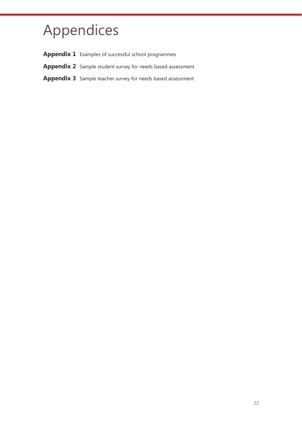## <span id="page-22-0"></span>Appendices

- Appendix 1 Examples of successful school programmes
- Appendix 2 Sample student survey for needs based assessment
- **Appendix 3** Sample teacher survey for needs based assessment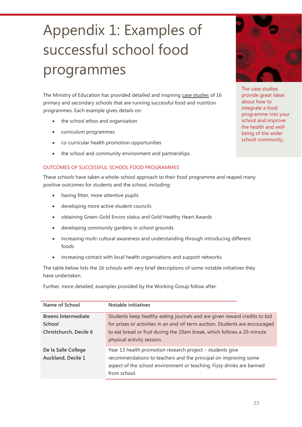## <span id="page-23-0"></span>Appendix 1: Examples of successful school food programmes

The Ministry of Education has provided detailed and inspiring [case studies](http://healthylifestyles.tki.org.nz/food-and-nutrition-case-studies) of 16 primary and secondary schools that are running successful food and nutrition programmes. Each example gives details on:

- the school ethos and organisation
- curriculum programmes
- co-curricular health promotion opportunities
- the school and community environment and partnerships.

#### OUTCOMES OF SUCCESSFUL SCHOOL FOOD PROGRAMMES

These schools have taken a whole-school approach to their food programme and reaped many positive outcomes for students and the school, including:

- having fitter, more attentive pupils
- developing more active student councils
- obtaining Green-Gold Enviro status and Gold Healthy Heart Awards
- developing community gardens in school grounds
- increasing multi-cultural awareness and understanding through introducing different foods
- increasing contact with local health organisations and support networks.

The table below lists the 16 schools with very brief descriptions of some notable initiatives they have undertaken.

Further, more detailed, examples provided by the Working Group follow after.

| Name of School                            | Notable initiatives                                                                                                                                                                                                   |  |  |
|-------------------------------------------|-----------------------------------------------------------------------------------------------------------------------------------------------------------------------------------------------------------------------|--|--|
| <b>Breens Intermediate</b>                | Students keep healthy eating journals and are given reward credits to bid                                                                                                                                             |  |  |
| School                                    | for prizes or activities in an end-of-term auction. Students are encouraged                                                                                                                                           |  |  |
| Christchurch, Decile 6                    | to eat bread or fruit during the 10am break, which follows a 20-minute<br>physical activity session.                                                                                                                  |  |  |
| De la Salle College<br>Auckland, Decile 1 | Year 13 health promotion research project - students give<br>recommendations to teachers and the principal on improving some<br>aspect of the school environment or teaching. Fizzy drinks are banned<br>from school. |  |  |



The case studies provide great ideas about how to integrate a food programme into your school and improve the health and wellbeing of the wider school community.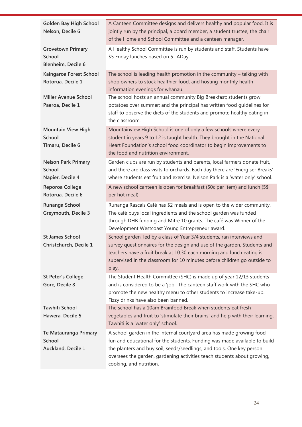| <b>Golden Bay High School</b><br>Nelson, Decile 6               | A Canteen Committee designs and delivers healthy and popular food. It is<br>jointly run by the principal, a board member, a student trustee, the chair<br>of the Home and School Committee and a canteen manager.                                                                                                                |
|-----------------------------------------------------------------|----------------------------------------------------------------------------------------------------------------------------------------------------------------------------------------------------------------------------------------------------------------------------------------------------------------------------------|
| <b>Grovetown Primary</b><br><b>School</b><br>Blenheim, Decile 6 | A Healthy School Committee is run by students and staff. Students have<br>\$5 Friday lunches based on 5+ADay.                                                                                                                                                                                                                    |
| Kaingaroa Forest School<br>Rotorua, Decile 1                    | The school is leading health promotion in the community $-$ talking with<br>shop owners to stock healthier food, and hosting monthly health<br>information evenings for whānau.                                                                                                                                                  |
| <b>Miller Avenue School</b><br>Paeroa, Decile 1                 | The school hosts an annual community Big Breakfast; students grow<br>potatoes over summer; and the principal has written food quidelines for<br>staff to observe the diets of the students and promote healthy eating in<br>the classroom.                                                                                       |
| <b>Mountain View High</b><br><b>School</b><br>Timaru, Decile 6  | Mountainview High School is one of only a few schools where every<br>student in years 9 to 12 is taught health. They brought in the National<br>Heart Foundation's school food coordinator to begin improvements to<br>the food and nutrition environment.                                                                       |
| <b>Nelson Park Primary</b><br><b>School</b><br>Napier, Decile 4 | Garden clubs are run by students and parents, local farmers donate fruit,<br>and there are class visits to orchards. Each day there are 'Energiser Breaks'<br>where students eat fruit and exercise. Nelson Park is a 'water only' school.                                                                                       |
| Reporoa College<br>Rotorua, Decile 6                            | A new school canteen is open for breakfast (50c per item) and lunch (5\$<br>per hot meal).                                                                                                                                                                                                                                       |
| Runanga School<br><b>Greymouth, Decile 3</b>                    | Runanga Rascals Café has \$2 meals and is open to the wider community.<br>The café buys local ingredients and the school garden was funded<br>through DHB funding and Mitre 10 grants. The café was Winner of the<br>Development Westcoast Young Entrepreneur award.                                                             |
| <b>St James School</b><br>Christchurch, Decile 1                | School garden, led by a class of Year 3/4 students, ran interviews and<br>survey questionnaires for the design and use of the garden. Students and<br>teachers have a fruit break at 10:30 each morning and lunch eating is<br>supervised in the classroom for 10 minutes before children go outside to<br>play.                 |
| <b>St Peter's College</b><br>Gore, Decile 8                     | The Student Health Committee (SHC) is made up of year 12/13 students<br>and is considered to be a 'job'. The canteen staff work with the SHC who<br>promote the new healthy menu to other students to increase take-up.<br>Fizzy drinks have also been banned.                                                                   |
| <b>Tawhiti School</b><br>Hawera, Decile 5                       | The school has a 10am Brainfood Break when students eat fresh<br>vegetables and fruit to 'stimulate their brains' and help with their learning.<br>Tawhiti is a 'water only' school.                                                                                                                                             |
| Te Matauranga Primary<br>School<br>Auckland, Decile 1           | A school garden in the internal courtyard area has made growing food<br>fun and educational for the students. Funding was made available to build<br>the planters and buy soil, seeds/seedlings, and tools. One key person<br>oversees the garden, gardening activities teach students about growing,<br>cooking, and nutrition. |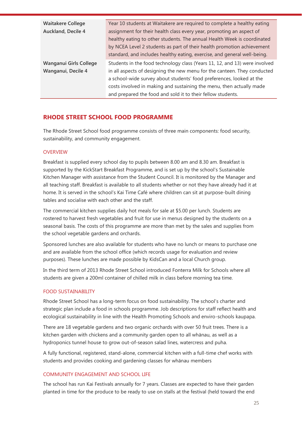### **RHODE STREET SCHOOL FOOD PROGRAMME**

The Rhode Street School food programme consists of three main components: food security, sustainability, and community engagement.

#### **OVERVIEW**

Breakfast is supplied every school day to pupils between 8.00 am and 8.30 am. Breakfast is supported by the KickStart Breakfast Programme, and is set up by the school's Sustainable Kitchen Manager with assistance from the Student Council. It is monitored by the Manager and all teaching staff. Breakfast is available to all students whether or not they have already had it at home. It is served in the school's Kai Time Café where children can sit at purpose-built dining tables and socialise with each other and the staff.

The commercial kitchen supplies daily hot meals for sale at \$5.00 per lunch. Students are rostered to harvest fresh vegetables and fruit for use in menus designed by the students on a seasonal basis. The costs of this programme are more than met by the sales and supplies from the school vegetable gardens and orchards.

Sponsored lunches are also available for students who have no lunch or means to purchase one and are available from the school office (which records usage for evaluation and review purposes). These lunches are made possible by KidsCan and a local Church group.

In the third term of 2013 Rhode Street School introduced Fonterra Milk for Schools where all students are given a 200ml container of chilled milk in class before morning tea time.

#### FOOD SUSTAINABILITY

Rhode Street School has a long-term focus on food sustainability. The school's charter and strategic plan include a food in schools programme. Job descriptions for staff reflect health and ecological sustainability in line with the Health Promoting Schools and enviro-schools kaupapa.

There are 18 vegetable gardens and two organic orchards with over 50 fruit trees. There is a kitchen garden with chickens and a community garden open to all whānau, as well as a hydroponics tunnel house to grow out-of-season salad lines, watercress and puha.

A fully functional, registered, stand-alone, commercial kitchen with a full-time chef works with students and provides cooking and gardening classes for whānau members

#### COMMUNITY ENGAGEMENT AND SCHOOL LIFE

The school has run Kai Festivals annually for 7 years. Classes are expected to have their garden planted in time for the produce to be ready to use on stalls at the festival (held toward the end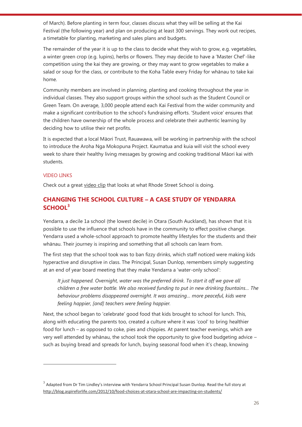of March). Before planting in term four, classes discuss what they will be selling at the Kai Festival (the following year) and plan on producing at least 300 servings. They work out recipes, a timetable for planting, marketing and sales plans and budgets.

The remainder of the year it is up to the class to decide what they wish to grow, e.g. vegetables, a winter green crop (e.g. lupins), herbs or flowers. They may decide to have a 'Master Chef'-like competition using the kai they are growing, or they may want to grow vegetables to make a salad or soup for the class, or contribute to the Koha Table every Friday for whānau to take kai home.

Community members are involved in planning, planting and cooking throughout the year in individual classes. They also support groups within the school such as the Student Council or Green Team. On average, 3,000 people attend each Kai Festival from the wider community and make a significant contribution to the school's fundraising efforts. 'Student voice' ensures that the children have ownership of the whole process and celebrate their authentic learning by deciding how to utilise their net profits.

It is expected that a local Māori Trust, Rauawawa, will be working in partnership with the school to introduce the Aroha Nga Mokopuna Project. Kaumatua and kuia will visit the school every week to share their healthy living messages by growing and cooking traditional Māori kai with students.

#### VIDEO LINKS

 $\overline{a}$ 

Check out a great [video](http://vimeo.com/64534293) clip that looks at what Rhode Street School is doing.

## **CHANGING THE SCHOOL CULTURE – A CASE STUDY OF YENDARRA SCHOOL<sup>3</sup>**

Yendarra, a decile 1a school (the lowest decile) in Otara (South Auckland), has shown that it is possible to use the influence that schools have in the community to effect positive change. Yendarra used a whole-school approach to promote healthy lifestyles for the students and their whānau. Their journey is inspiring and something that all schools can learn from.

The first step that the school took was to ban fizzy drinks, which staff noticed were making kids hyperactive and disruptive in class. The Principal, Susan Dunlop, remembers simply suggesting at an end of year board meeting that they make Yendarra a 'water-only school':

*It just happened. Overnight, water was the preferred drink. To start it off we gave all children a free water bottle. We also received funding to put in new drinking fountains… The behaviour problems disappeared overnight. It was amazing… more peaceful, kids were feeling happier, [and] teachers were feeling happier.*

Next, the school began to 'celebrate' good food that kids brought to school for lunch. This, along with educating the parents too, created a culture where it was 'cool' to bring healthier food for lunch – as opposed to coke, pies and chippies. At parent teacher evenings, which are very well attended by whānau, the school took the opportunity to give food budgeting advice – such as buying bread and spreads for lunch, buying seasonal food when it's cheap, knowing

 $^3$  Adapted from Dr Tim Lindley's interview with Yendarra School Principal Susan Dunlop. Read the full story at <http://blog.aspireforlife.com/2012/10/food-choices-at-otara-school-are-impacting-on-students/>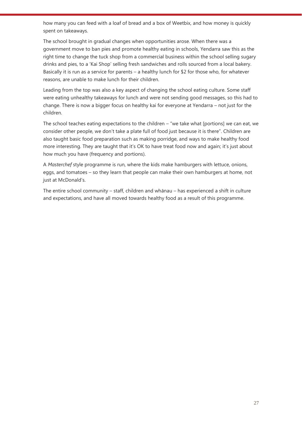how many you can feed with a loaf of bread and a box of Weetbix, and how money is quickly spent on takeaways.

The school brought in gradual changes when opportunities arose. When there was a government move to ban pies and promote healthy eating in schools, Yendarra saw this as the right time to change the tuck shop from a commercial business within the school selling sugary drinks and pies, to a 'Kai Shop' selling fresh sandwiches and rolls sourced from a local bakery. Basically it is run as a service for parents – a healthy lunch for \$2 for those who, for whatever reasons, are unable to make lunch for their children.

Leading from the top was also a key aspect of changing the school eating culture. Some staff were eating unhealthy takeaways for lunch and were not sending good messages, so this had to change. There is now a bigger focus on healthy kai for everyone at Yendarra – not just for the children.

The school teaches eating expectations to the children  $-$  "we take what [portions] we can eat, we consider other people, we don't take a plate full of food just because it is there". Children are also taught basic food preparation such as making porridge, and ways to make healthy food more interesting. They are taught that it's OK to have treat food now and again; it's just about how much you have (frequency and portions).

A *Masterchef* style programme is run, where the kids make hamburgers with lettuce, onions, eggs, and tomatoes – so they learn that people can make their own hamburgers at home, not just at McDonald's.

The entire school community – staff, children and whānau – has experienced a shift in culture and expectations, and have all moved towards healthy food as a result of this programme.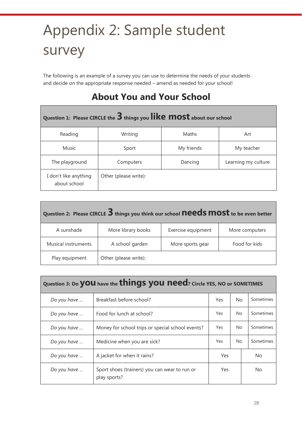## <span id="page-28-0"></span>Appendix 2: Sample student survey

The following is an example of a survey you can use to determine the needs of your students and decide on the appropriate response needed – amend as needed for your school!

## **About You and Your School**

| Question 1: Please CIRCLE the 3 things you like most about our school |                       |            |                     |  |  |
|-----------------------------------------------------------------------|-----------------------|------------|---------------------|--|--|
| Reading                                                               | Writing               | Maths      | Art                 |  |  |
| <b>Music</b>                                                          | Sport                 | My friends | My teacher          |  |  |
| The playground<br>Computers                                           |                       | Dancing    | Learning my culture |  |  |
| I don't like anything<br>about school                                 | Other (please write): |            |                     |  |  |

| Question 2: Please CIRCLE 3 things you think our school needs most to be even better |                       |                    |                |  |  |
|--------------------------------------------------------------------------------------|-----------------------|--------------------|----------------|--|--|
| A sunshade                                                                           | More library books    | Exercise equipment | More computers |  |  |
| Musical instruments                                                                  | A school garden       | More sports gear   | Food for kids  |  |  |
| Play equipment                                                                       | Other (please write): |                    |                |  |  |

| Question 3: Do <b>you</b> have the <b>things you need</b> ? Circle YES, NO or SOMETIMES |                                                               |                        |           |           |  |  |
|-----------------------------------------------------------------------------------------|---------------------------------------------------------------|------------------------|-----------|-----------|--|--|
| Do you have                                                                             | Breakfast before school?                                      | Sometimes<br><b>No</b> |           |           |  |  |
| Do you have                                                                             | Food for lunch at school?                                     | Sometimes<br><b>No</b> |           |           |  |  |
| Do you have                                                                             | Money for school trips or special school events?              | <b>No</b>              | Sometimes |           |  |  |
| Do you have                                                                             | Medicine when you are sick?                                   | Yes<br><b>No</b>       |           | Sometimes |  |  |
| Do you have                                                                             | A jacket for when it rains?                                   | Yes                    | No.       |           |  |  |
| Do you have                                                                             | Sport shoes (trainers) you can wear to run or<br>play sports? | Yes                    |           | No.       |  |  |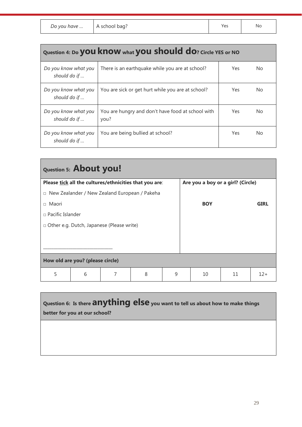*Do you have* … A school bag? No

| Question 4: Do <b>you know</b> what <b>you should do</b> ? Circle YES or NO |                                                           |     |     |  |
|-----------------------------------------------------------------------------|-----------------------------------------------------------|-----|-----|--|
| Do you know what you<br>should do if                                        | There is an earthquake while you are at school?           | Yes | No. |  |
| Do you know what you<br>should do if                                        | You are sick or get hurt while you are at school?         | Yes | No. |  |
| Do you know what you<br>should do if                                        | You are hungry and don't have food at school with<br>you? | Yes | No. |  |
| Do you know what you<br>should do if                                        | You are being bullied at school?                          | Yes | No. |  |

| Question 5: About you!                                  |                         |  |   |                                   |            |    |             |       |
|---------------------------------------------------------|-------------------------|--|---|-----------------------------------|------------|----|-------------|-------|
| Please tick all the cultures/ethnicities that you are:  |                         |  |   | Are you a boy or a girl? (Circle) |            |    |             |       |
| New Zealander / New Zealand European / Pakeha<br>$\Box$ |                         |  |   |                                   |            |    |             |       |
| □ Maori                                                 |                         |  |   |                                   | <b>BOY</b> |    | <b>GIRL</b> |       |
|                                                         | $\Box$ Pacific Islander |  |   |                                   |            |    |             |       |
| □ Other e.g. Dutch, Japanese (Please write)             |                         |  |   |                                   |            |    |             |       |
|                                                         |                         |  |   |                                   |            |    |             |       |
|                                                         |                         |  |   |                                   |            |    |             |       |
| How old are you? (please circle)                        |                         |  |   |                                   |            |    |             |       |
| 5                                                       | 6                       |  | 8 | 9                                 |            | 10 | 11          | $12+$ |

**Question 6: Is there anything else you want to tell us about how to make things better for you at our school?**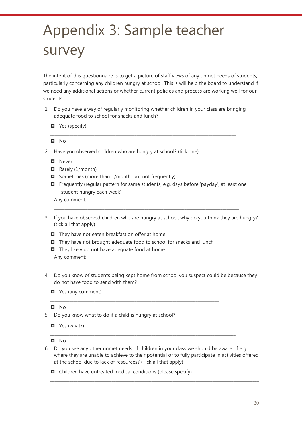## <span id="page-30-0"></span>Appendix 3: Sample teacher survey

The intent of this questionnaire is to get a picture of staff views of any unmet needs of students, particularly concerning any children hungry at school. This is will help the board to understand if we need any additional actions or whether current policies and process are working well for our students.

1. Do you have a way of regularly monitoring whether children in your class are bringing adequate food to school for snacks and lunch?

\_\_\_\_\_\_\_\_\_\_\_\_\_\_\_\_\_\_\_\_\_\_\_\_\_\_\_\_\_\_\_\_\_\_\_\_\_\_\_\_\_\_\_\_\_\_\_\_\_\_\_\_\_\_\_\_\_\_\_\_\_\_\_\_\_\_\_\_\_\_\_\_\_\_\_\_\_\_\_\_\_\_\_\_\_\_\_\_

**D** Yes (specify)

#### $\Box$  No

- 2. Have you observed children who are hungry at school? (tick one)
	- **D** Never
	- $\blacksquare$  Rarely (1/month)
	- $\Box$  Sometimes (more than 1/month, but not frequently)
	- Frequently (regular pattern for same students, e.g. days before 'payday', at least one student hungry each week)

\_\_\_\_\_\_\_\_\_\_\_\_\_\_\_\_\_\_\_\_\_\_\_\_\_\_\_\_\_\_\_\_\_\_\_\_\_\_\_\_\_\_\_\_\_\_\_\_\_\_\_\_\_\_\_\_\_\_\_\_\_\_\_\_\_\_\_\_\_\_\_\_\_\_\_\_\_\_\_\_\_\_\_\_\_\_\_\_

Any comment:

- 3. If you have observed children who are hungry at school, why do you think they are hungry? (tick all that apply)
	- $\blacksquare$  They have not eaten breakfast on offer at home
	- $\blacksquare$  They have not brought adequate food to school for snacks and lunch

\_\_\_\_\_\_\_\_\_\_\_\_\_\_\_\_\_\_\_\_\_\_\_\_\_\_\_\_\_\_\_\_\_\_\_\_\_\_\_\_\_\_\_\_\_\_\_\_\_\_\_\_\_\_\_\_\_\_\_\_\_\_\_\_\_\_\_\_\_\_\_\_\_\_\_\_\_\_\_\_

- $\blacksquare$  They likely do not have adequate food at home Any comment:
- 4. Do you know of students being kept home from school you suspect could be because they do not have food to send with them?

\_\_\_\_\_\_\_\_\_\_\_\_\_\_\_\_\_\_\_\_\_\_\_\_\_\_\_\_\_\_\_\_\_\_\_\_\_\_\_\_\_\_\_\_\_\_\_\_\_\_\_\_\_\_\_\_\_\_\_\_\_\_\_\_\_\_\_\_\_\_\_\_\_\_\_\_\_\_\_\_\_\_\_\_\_\_\_\_

 $\blacksquare$  Yes (any comment)

#### $\blacksquare$  No

- 5. Do you know what to do if a child is hungry at school?
	- $\blacksquare$  Yes (what?)

```
\Box No
```
6. Do you see any other unmet needs of children in your class we should be aware of e.g. where they are unable to achieve to their potential or to fully participate in activities offered at the school due to lack of resources? (Tick all that apply)

\_\_\_\_\_\_\_\_\_\_\_\_\_\_\_\_\_\_\_\_\_\_\_\_\_\_\_\_\_\_\_\_\_\_\_\_\_\_\_\_\_\_\_\_\_\_\_\_\_\_\_\_\_\_\_\_\_\_\_\_\_\_\_\_\_\_\_\_\_\_\_\_\_\_\_\_\_\_\_\_\_\_\_\_\_\_\_\_\_\_\_\_\_\_\_\_\_\_\_ \_\_\_\_\_\_\_\_\_\_\_\_\_\_\_\_\_\_\_\_\_\_\_\_\_\_\_\_\_\_\_\_\_\_\_\_\_\_\_\_\_\_\_\_\_\_\_\_\_\_\_\_\_\_\_\_\_\_\_\_\_\_\_\_\_\_\_\_\_\_\_\_\_\_\_\_\_\_\_\_\_\_\_\_\_\_\_\_\_\_\_\_\_\_\_\_\_\_

\_\_\_\_\_\_\_\_\_\_\_\_\_\_\_\_\_\_\_\_\_\_\_\_\_\_\_\_\_\_\_\_\_\_\_\_\_\_\_\_\_\_\_\_\_\_\_\_\_\_\_\_\_\_\_\_\_\_\_\_\_\_\_\_\_\_\_\_\_\_\_\_\_\_\_\_\_\_\_\_\_\_\_\_\_\_\_\_

 $\Box$  Children have untreated medical conditions (please specify)